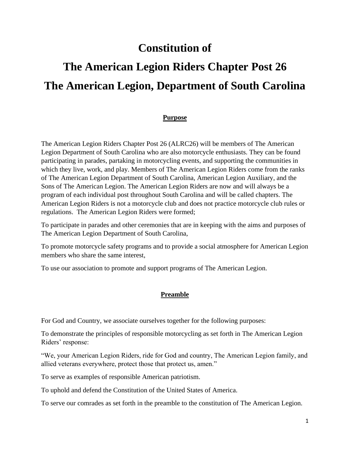# **Constitution of**

# **The American Legion Riders Chapter Post 26 The American Legion, Department of South Carolina**

#### **Purpose**

The American Legion Riders Chapter Post 26 (ALRC26) will be members of The American Legion Department of South Carolina who are also motorcycle enthusiasts. They can be found participating in parades, partaking in motorcycling events, and supporting the communities in which they live, work, and play. Members of The American Legion Riders come from the ranks of The American Legion Department of South Carolina, American Legion Auxiliary, and the Sons of The American Legion. The American Legion Riders are now and will always be a program of each individual post throughout South Carolina and will be called chapters. The American Legion Riders is not a motorcycle club and does not practice motorcycle club rules or regulations. The American Legion Riders were formed;

To participate in parades and other ceremonies that are in keeping with the aims and purposes of The American Legion Department of South Carolina,

To promote motorcycle safety programs and to provide a social atmosphere for American Legion members who share the same interest,

To use our association to promote and support programs of The American Legion.

#### **Preamble**

For God and Country, we associate ourselves together for the following purposes:

To demonstrate the principles of responsible motorcycling as set forth in The American Legion Riders' response:

"We, your American Legion Riders, ride for God and country, The American Legion family, and allied veterans everywhere, protect those that protect us, amen."

To serve as examples of responsible American patriotism.

To uphold and defend the Constitution of the United States of America.

To serve our comrades as set forth in the preamble to the constitution of The American Legion.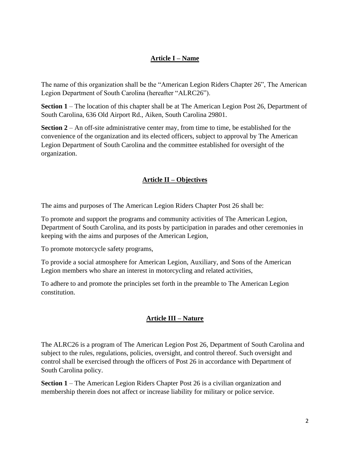# **Article I – Name**

The name of this organization shall be the "American Legion Riders Chapter 26", The American Legion Department of South Carolina (hereafter "ALRC26").

**Section 1** – The location of this chapter shall be at The American Legion Post 26, Department of South Carolina, 636 Old Airport Rd., Aiken, South Carolina 29801.

**Section 2** – An off-site administrative center may, from time to time, be established for the convenience of the organization and its elected officers, subject to approval by The American Legion Department of South Carolina and the committee established for oversight of the organization.

# **Article II – Objectives**

The aims and purposes of The American Legion Riders Chapter Post 26 shall be:

To promote and support the programs and community activities of The American Legion, Department of South Carolina, and its posts by participation in parades and other ceremonies in keeping with the aims and purposes of the American Legion,

To promote motorcycle safety programs,

To provide a social atmosphere for American Legion, Auxiliary, and Sons of the American Legion members who share an interest in motorcycling and related activities,

To adhere to and promote the principles set forth in the preamble to The American Legion constitution.

# **Article III – Nature**

The ALRC26 is a program of The American Legion Post 26, Department of South Carolina and subject to the rules, regulations, policies, oversight, and control thereof. Such oversight and control shall be exercised through the officers of Post 26 in accordance with Department of South Carolina policy.

**Section 1** – The American Legion Riders Chapter Post 26 is a civilian organization and membership therein does not affect or increase liability for military or police service.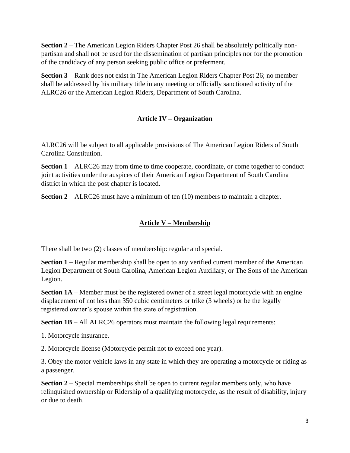**Section 2** – The American Legion Riders Chapter Post 26 shall be absolutely politically nonpartisan and shall not be used for the dissemination of partisan principles nor for the promotion of the candidacy of any person seeking public office or preferment.

**Section 3** – Rank does not exist in The American Legion Riders Chapter Post 26; no member shall be addressed by his military title in any meeting or officially sanctioned activity of the ALRC26 or the American Legion Riders, Department of South Carolina.

# **Article IV – Organization**

ALRC26 will be subject to all applicable provisions of The American Legion Riders of South Carolina Constitution.

**Section 1** – ALRC26 may from time to time cooperate, coordinate, or come together to conduct joint activities under the auspices of their American Legion Department of South Carolina district in which the post chapter is located.

**Section 2** – ALRC26 must have a minimum of ten (10) members to maintain a chapter.

#### **Article V – Membership**

There shall be two (2) classes of membership: regular and special.

**Section 1** – Regular membership shall be open to any verified current member of the American Legion Department of South Carolina, American Legion Auxiliary, or The Sons of the American Legion.

**Section 1A** – Member must be the registered owner of a street legal motorcycle with an engine displacement of not less than 350 cubic centimeters or trike (3 wheels) or be the legally registered owner's spouse within the state of registration.

**Section 1B** – All ALRC26 operators must maintain the following legal requirements:

1. Motorcycle insurance.

2. Motorcycle license (Motorcycle permit not to exceed one year).

3. Obey the motor vehicle laws in any state in which they are operating a motorcycle or riding as a passenger.

**Section 2** – Special memberships shall be open to current regular members only, who have relinquished ownership or Ridership of a qualifying motorcycle, as the result of disability, injury or due to death.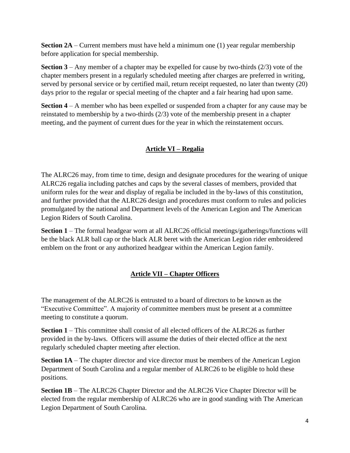**Section 2A** – Current members must have held a minimum one (1) year regular membership before application for special membership.

**Section 3** – Any member of a chapter may be expelled for cause by two-thirds (2/3) vote of the chapter members present in a regularly scheduled meeting after charges are preferred in writing, served by personal service or by certified mail, return receipt requested, no later than twenty (20) days prior to the regular or special meeting of the chapter and a fair hearing had upon same.

**Section 4** – A member who has been expelled or suspended from a chapter for any cause may be reinstated to membership by a two-thirds (2/3) vote of the membership present in a chapter meeting, and the payment of current dues for the year in which the reinstatement occurs.

# **Article VI – Regalia**

The ALRC26 may, from time to time, design and designate procedures for the wearing of unique ALRC26 regalia including patches and caps by the several classes of members, provided that uniform rules for the wear and display of regalia be included in the by-laws of this constitution, and further provided that the ALRC26 design and procedures must conform to rules and policies promulgated by the national and Department levels of the American Legion and The American Legion Riders of South Carolina.

**Section 1** – The formal headgear worn at all ALRC26 official meetings/gatherings/functions will be the black ALR ball cap or the black ALR beret with the American Legion rider embroidered emblem on the front or any authorized headgear within the American Legion family.

# **Article VII – Chapter Officers**

The management of the ALRC26 is entrusted to a board of directors to be known as the "Executive Committee". A majority of committee members must be present at a committee meeting to constitute a quorum.

**Section 1** – This committee shall consist of all elected officers of the ALRC26 as further provided in the by-laws. Officers will assume the duties of their elected office at the next regularly scheduled chapter meeting after election.

**Section 1A** – The chapter director and vice director must be members of the American Legion Department of South Carolina and a regular member of ALRC26 to be eligible to hold these positions.

**Section 1B** – The ALRC26 Chapter Director and the ALRC26 Vice Chapter Director will be elected from the regular membership of ALRC26 who are in good standing with The American Legion Department of South Carolina.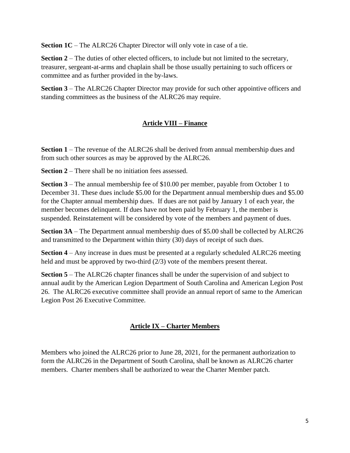**Section 1C** – The ALRC26 Chapter Director will only vote in case of a tie.

**Section 2** – The duties of other elected officers, to include but not limited to the secretary, treasurer, sergeant-at-arms and chaplain shall be those usually pertaining to such officers or committee and as further provided in the by-laws.

**Section 3** – The ALRC26 Chapter Director may provide for such other appointive officers and standing committees as the business of the ALRC26 may require.

#### **Article VIII – Finance**

**Section 1** – The revenue of the ALRC26 shall be derived from annual membership dues and from such other sources as may be approved by the ALRC26.

**Section 2** – There shall be no initiation fees assessed.

**Section 3** – The annual membership fee of \$10.00 per member, payable from October 1 to December 31. These dues include \$5.00 for the Department annual membership dues and \$5.00 for the Chapter annual membership dues. If dues are not paid by January 1 of each year, the member becomes delinquent. If dues have not been paid by February 1, the member is suspended. Reinstatement will be considered by vote of the members and payment of dues.

**Section 3A** – The Department annual membership dues of \$5.00 shall be collected by ALRC26 and transmitted to the Department within thirty (30) days of receipt of such dues.

**Section 4** – Any increase in dues must be presented at a regularly scheduled ALRC26 meeting held and must be approved by two-third (2/3) vote of the members present thereat.

**Section 5** – The ALRC26 chapter finances shall be under the supervision of and subject to annual audit by the American Legion Department of South Carolina and American Legion Post 26. The ALRC26 executive committee shall provide an annual report of same to the American Legion Post 26 Executive Committee.

#### **Article IX – Charter Members**

Members who joined the ALRC26 prior to June 28, 2021, for the permanent authorization to form the ALRC26 in the Department of South Carolina, shall be known as ALRC26 charter members. Charter members shall be authorized to wear the Charter Member patch.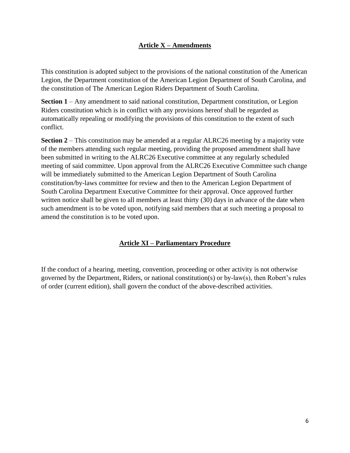#### **Article X – Amendments**

This constitution is adopted subject to the provisions of the national constitution of the American Legion, the Department constitution of the American Legion Department of South Carolina, and the constitution of The American Legion Riders Department of South Carolina.

**Section 1** – Any amendment to said national constitution, Department constitution, or Legion Riders constitution which is in conflict with any provisions hereof shall be regarded as automatically repealing or modifying the provisions of this constitution to the extent of such conflict.

**Section 2** – This constitution may be amended at a regular ALRC26 meeting by a majority vote of the members attending such regular meeting, providing the proposed amendment shall have been submitted in writing to the ALRC26 Executive committee at any regularly scheduled meeting of said committee. Upon approval from the ALRC26 Executive Committee such change will be immediately submitted to the American Legion Department of South Carolina constitution/by-laws committee for review and then to the American Legion Department of South Carolina Department Executive Committee for their approval. Once approved further written notice shall be given to all members at least thirty (30) days in advance of the date when such amendment is to be voted upon, notifying said members that at such meeting a proposal to amend the constitution is to be voted upon.

# **Article XI – Parliamentary Procedure**

If the conduct of a hearing, meeting, convention, proceeding or other activity is not otherwise governed by the Department, Riders, or national constitution(s) or by-law(s), then Robert's rules of order (current edition), shall govern the conduct of the above-described activities.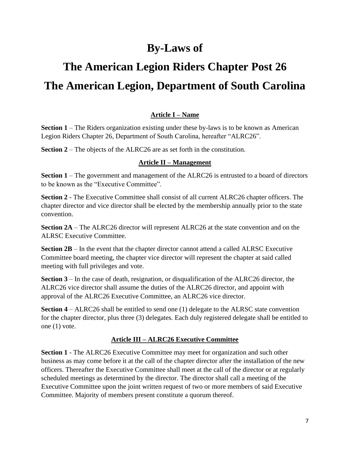# **By-Laws of**

# **The American Legion Riders Chapter Post 26 The American Legion, Department of South Carolina**

# **Article I – Name**

**Section 1** – The Riders organization existing under these by-laws is to be known as American Legion Riders Chapter 26, Department of South Carolina, hereafter "ALRC26".

**Section 2** – The objects of the ALRC26 are as set forth in the constitution.

#### **Article II – Management**

**Section 1** – The government and management of the ALRC26 is entrusted to a board of directors to be known as the "Executive Committee".

**Section 2** - The Executive Committee shall consist of all current ALRC26 chapter officers. The chapter director and vice director shall be elected by the membership annually prior to the state convention.

**Section 2A** – The ALRC26 director will represent ALRC26 at the state convention and on the ALRSC Executive Committee.

**Section 2B** – In the event that the chapter director cannot attend a called ALRSC Executive Committee board meeting, the chapter vice director will represent the chapter at said called meeting with full privileges and vote.

**Section 3** – In the case of death, resignation, or disqualification of the ALRC26 director, the ALRC26 vice director shall assume the duties of the ALRC26 director, and appoint with approval of the ALRC26 Executive Committee, an ALRC26 vice director.

**Section 4** – ALRC26 shall be entitled to send one (1) delegate to the ALRSC state convention for the chapter director, plus three (3) delegates. Each duly registered delegate shall be entitled to one (1) vote.

# **Article III – ALRC26 Executive Committee**

**Section 1** - The ALRC26 Executive Committee may meet for organization and such other business as may come before it at the call of the chapter director after the installation of the new officers. Thereafter the Executive Committee shall meet at the call of the director or at regularly scheduled meetings as determined by the director. The director shall call a meeting of the Executive Committee upon the joint written request of two or more members of said Executive Committee. Majority of members present constitute a quorum thereof.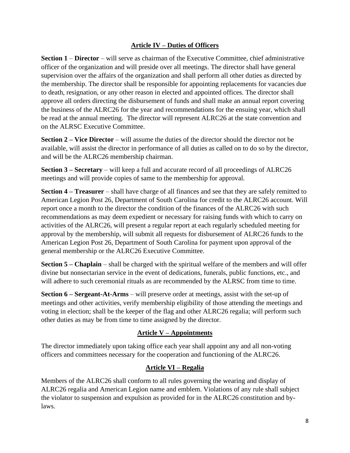#### **Article IV – Duties of Officers**

**Section 1** – **Director** – will serve as chairman of the Executive Committee, chief administrative officer of the organization and will preside over all meetings. The director shall have general supervision over the affairs of the organization and shall perform all other duties as directed by the membership. The director shall be responsible for appointing replacements for vacancies due to death, resignation, or any other reason in elected and appointed offices. The director shall approve all orders directing the disbursement of funds and shall make an annual report covering the business of the ALRC26 for the year and recommendations for the ensuing year, which shall be read at the annual meeting. The director will represent ALRC26 at the state convention and on the ALRSC Executive Committee.

**Section 2 – Vice Director** – will assume the duties of the director should the director not be available, will assist the director in performance of all duties as called on to do so by the director, and will be the ALRC26 membership chairman.

**Section 3 – Secretary** – will keep a full and accurate record of all proceedings of ALRC26 meetings and will provide copies of same to the membership for approval.

**Section 4 – Treasurer** – shall have charge of all finances and see that they are safely remitted to American Legion Post 26, Department of South Carolina for credit to the ALRC26 account. Will report once a month to the director the condition of the finances of the ALRC26 with such recommendations as may deem expedient or necessary for raising funds with which to carry on activities of the ALRC26, will present a regular report at each regularly scheduled meeting for approval by the membership, will submit all requests for disbursement of ALRC26 funds to the American Legion Post 26, Department of South Carolina for payment upon approval of the general membership or the ALRC26 Executive Committee.

**Section 5 – Chaplain** – shall be charged with the spiritual welfare of the members and will offer divine but nonsectarian service in the event of dedications, funerals, public functions, etc., and will adhere to such ceremonial rituals as are recommended by the ALRSC from time to time.

**Section 6 – Sergeant-At-Arms** – will preserve order at meetings, assist with the set-up of meetings and other activities, verify membership eligibility of those attending the meetings and voting in election; shall be the keeper of the flag and other ALRC26 regalia; will perform such other duties as may be from time to time assigned by the director.

# **Article V – Appointments**

The director immediately upon taking office each year shall appoint any and all non-voting officers and committees necessary for the cooperation and functioning of the ALRC26.

# **Article VI – Regalia**

Members of the ALRC26 shall conform to all rules governing the wearing and display of ALRC26 regalia and American Legion name and emblem. Violations of any rule shall subject the violator to suspension and expulsion as provided for in the ALRC26 constitution and bylaws.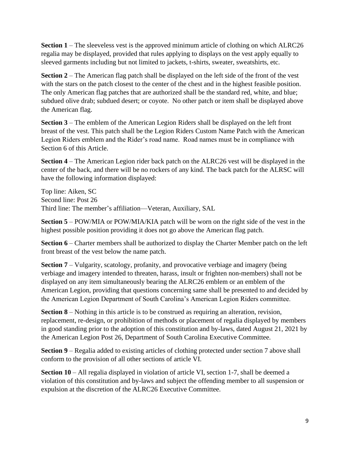**Section 1** – The sleeveless vest is the approved minimum article of clothing on which ALRC26 regalia may be displayed, provided that rules applying to displays on the vest apply equally to sleeved garments including but not limited to jackets, t-shirts, sweater, sweatshirts, etc.

**Section 2** – The American flag patch shall be displayed on the left side of the front of the vest with the stars on the patch closest to the center of the chest and in the highest feasible position. The only American flag patches that are authorized shall be the standard red, white, and blue; subdued olive drab; subdued desert; or coyote. No other patch or item shall be displayed above the American flag.

**Section 3** – The emblem of the American Legion Riders shall be displayed on the left front breast of the vest. This patch shall be the Legion Riders Custom Name Patch with the American Legion Riders emblem and the Rider's road name. Road names must be in compliance with Section 6 of this Article.

**Section 4** – The American Legion rider back patch on the ALRC26 vest will be displayed in the center of the back, and there will be no rockers of any kind. The back patch for the ALRSC will have the following information displayed:

Top line: Aiken, SC Second line: Post 26 Third line: The member's affiliation—Veteran, Auxiliary, SAL

**Section 5** – POW/MIA or POW/MIA/KIA patch will be worn on the right side of the vest in the highest possible position providing it does not go above the American flag patch.

**Section 6** – Charter members shall be authorized to display the Charter Member patch on the left front breast of the vest below the name patch.

**Section 7** – Vulgarity, scatology, profanity, and provocative verbiage and imagery (being verbiage and imagery intended to threaten, harass, insult or frighten non-members) shall not be displayed on any item simultaneously bearing the ALRC26 emblem or an emblem of the American Legion, providing that questions concerning same shall be presented to and decided by the American Legion Department of South Carolina's American Legion Riders committee.

**Section 8** – Nothing in this article is to be construed as requiring an alteration, revision, replacement, re-design, or prohibition of methods or placement of regalia displayed by members in good standing prior to the adoption of this constitution and by-laws, dated August 21, 2021 by the American Legion Post 26, Department of South Carolina Executive Committee.

**Section 9** – Regalia added to existing articles of clothing protected under section 7 above shall conform to the provision of all other sections of article VI.

**Section 10** – All regalia displayed in violation of article VI, section 1-7, shall be deemed a violation of this constitution and by-laws and subject the offending member to all suspension or expulsion at the discretion of the ALRC26 Executive Committee.